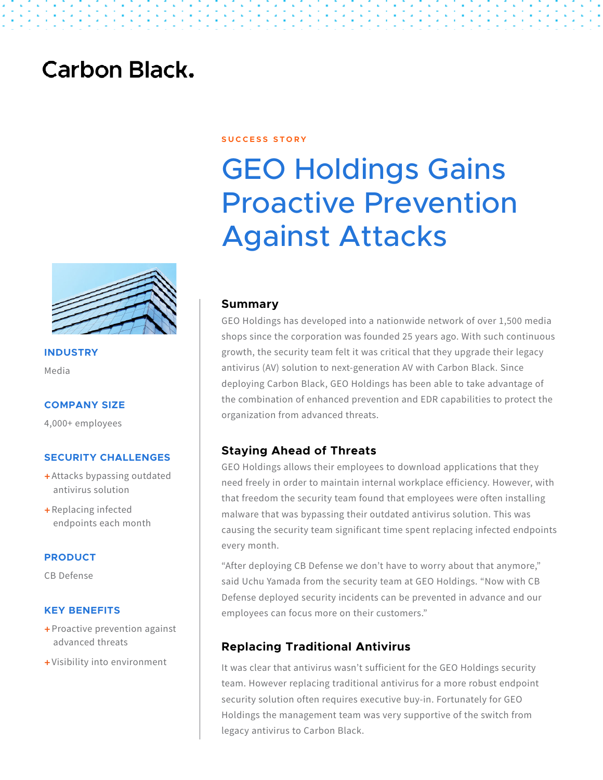## **Carbon Black.**



**INDUSTRY** Media

#### **COMPANY SIZE**

4,000+ employees

#### **SECURITY CHALLENGES**

- + Attacks bypassing outdated antivirus solution
- + Replacing infected endpoints each month

#### **PRODUCT**

CB Defense

#### **KEY BENEFITS**

- + Proactive prevention against advanced threats
- + Visibility into environment

#### **S U C C E S S S T O R Y**

# GEO Holdings Gains Proactive Prevention Against Attacks

#### **Summary**

GEO Holdings has developed into a nationwide network of over 1,500 media shops since the corporation was founded 25 years ago. With such continuous growth, the security team felt it was critical that they upgrade their legacy antivirus (AV) solution to next-generation AV with Carbon Black. Since deploying Carbon Black, GEO Holdings has been able to take advantage of the combination of enhanced prevention and EDR capabilities to protect the organization from advanced threats.

#### **Staying Ahead of Threats**

GEO Holdings allows their employees to download applications that they need freely in order to maintain internal workplace efficiency. However, with that freedom the security team found that employees were often installing malware that was bypassing their outdated antivirus solution. This was causing the security team significant time spent replacing infected endpoints every month.

"After deploying CB Defense we don't have to worry about that anymore," said Uchu Yamada from the security team at GEO Holdings. "Now with CB Defense deployed security incidents can be prevented in advance and our employees can focus more on their customers."

#### **Replacing Traditional Antivirus**

It was clear that antivirus wasn't sufficient for the GEO Holdings security team. However replacing traditional antivirus for a more robust endpoint security solution often requires executive buy-in. Fortunately for GEO Holdings the management team was very supportive of the switch from legacy antivirus to Carbon Black.